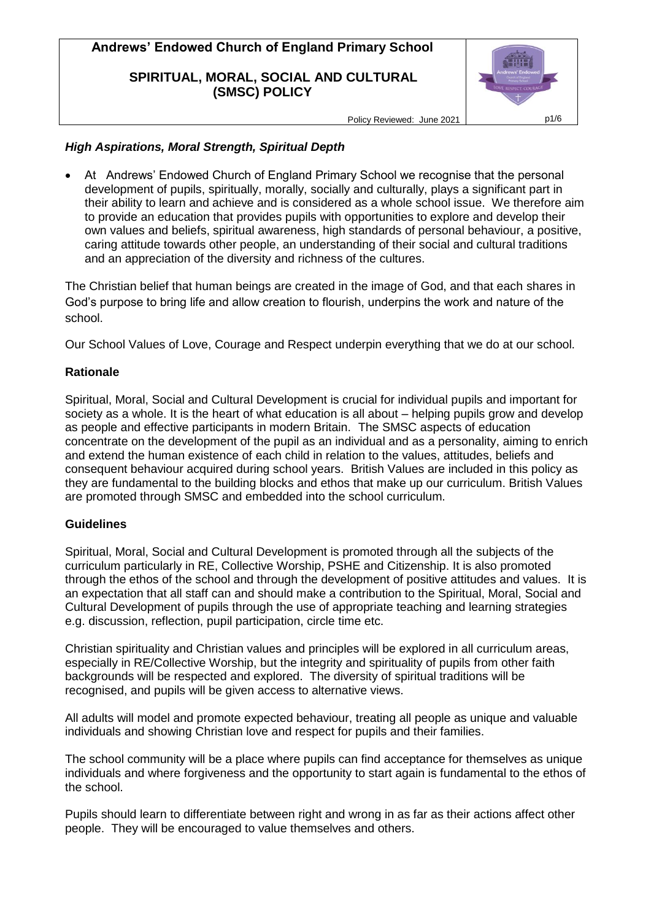### **SPIRITUAL, MORAL, SOCIAL AND CULTURAL (SMSC) POLICY**



Policy Reviewed: June 2021 | p1/6

## *High Aspirations, Moral Strength, Spiritual Depth*

 At Andrews' Endowed Church of England Primary School we recognise that the personal development of pupils, spiritually, morally, socially and culturally, plays a significant part in their ability to learn and achieve and is considered as a whole school issue. We therefore aim to provide an education that provides pupils with opportunities to explore and develop their own values and beliefs, spiritual awareness, high standards of personal behaviour, a positive, caring attitude towards other people, an understanding of their social and cultural traditions and an appreciation of the diversity and richness of the cultures.

The Christian belief that human beings are created in the image of God, and that each shares in God's purpose to bring life and allow creation to flourish, underpins the work and nature of the school.

Our School Values of Love, Courage and Respect underpin everything that we do at our school.

## **Rationale**

Spiritual, Moral, Social and Cultural Development is crucial for individual pupils and important for society as a whole. It is the heart of what education is all about – helping pupils grow and develop as people and effective participants in modern Britain. The SMSC aspects of education concentrate on the development of the pupil as an individual and as a personality, aiming to enrich and extend the human existence of each child in relation to the values, attitudes, beliefs and consequent behaviour acquired during school years. British Values are included in this policy as they are fundamental to the building blocks and ethos that make up our curriculum. British Values are promoted through SMSC and embedded into the school curriculum.

### **Guidelines**

Spiritual, Moral, Social and Cultural Development is promoted through all the subjects of the curriculum particularly in RE, Collective Worship, PSHE and Citizenship. It is also promoted through the ethos of the school and through the development of positive attitudes and values. It is an expectation that all staff can and should make a contribution to the Spiritual, Moral, Social and Cultural Development of pupils through the use of appropriate teaching and learning strategies e.g. discussion, reflection, pupil participation, circle time etc.

Christian spirituality and Christian values and principles will be explored in all curriculum areas, especially in RE/Collective Worship, but the integrity and spirituality of pupils from other faith backgrounds will be respected and explored. The diversity of spiritual traditions will be recognised, and pupils will be given access to alternative views.

All adults will model and promote expected behaviour, treating all people as unique and valuable individuals and showing Christian love and respect for pupils and their families.

The school community will be a place where pupils can find acceptance for themselves as unique individuals and where forgiveness and the opportunity to start again is fundamental to the ethos of the school.

Pupils should learn to differentiate between right and wrong in as far as their actions affect other people. They will be encouraged to value themselves and others.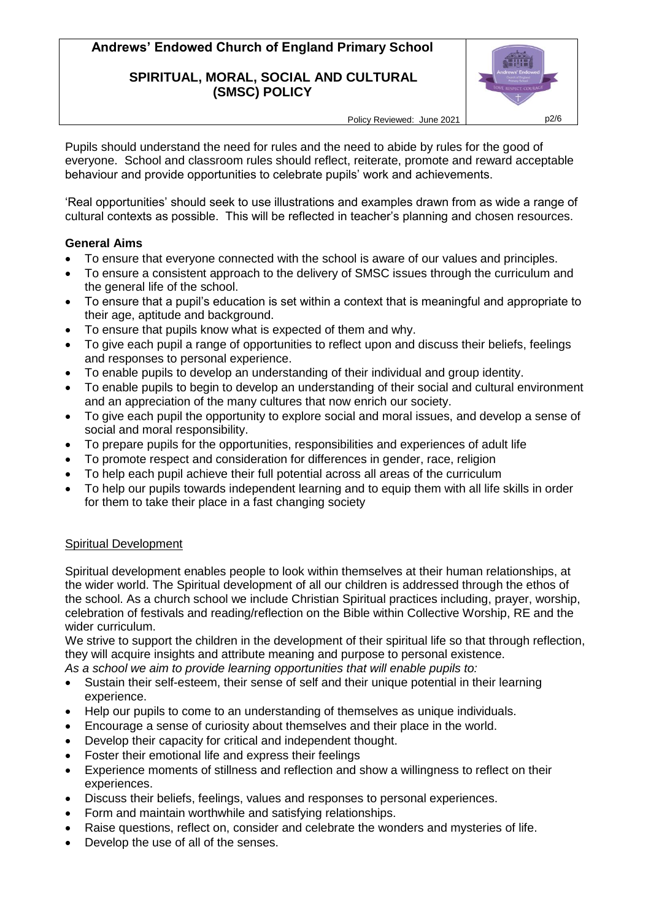### **SPIRITUAL, MORAL, SOCIAL AND CULTURAL (SMSC) POLICY**



Policy Reviewed: June 2021 | p2/6

Pupils should understand the need for rules and the need to abide by rules for the good of everyone. School and classroom rules should reflect, reiterate, promote and reward acceptable behaviour and provide opportunities to celebrate pupils' work and achievements.

'Real opportunities' should seek to use illustrations and examples drawn from as wide a range of cultural contexts as possible. This will be reflected in teacher's planning and chosen resources.

## **General Aims**

- To ensure that everyone connected with the school is aware of our values and principles.
- To ensure a consistent approach to the delivery of SMSC issues through the curriculum and the general life of the school.
- To ensure that a pupil's education is set within a context that is meaningful and appropriate to their age, aptitude and background.
- To ensure that pupils know what is expected of them and why.
- To give each pupil a range of opportunities to reflect upon and discuss their beliefs, feelings and responses to personal experience.
- To enable pupils to develop an understanding of their individual and group identity.
- To enable pupils to begin to develop an understanding of their social and cultural environment and an appreciation of the many cultures that now enrich our society.
- To give each pupil the opportunity to explore social and moral issues, and develop a sense of social and moral responsibility.
- To prepare pupils for the opportunities, responsibilities and experiences of adult life
- To promote respect and consideration for differences in gender, race, religion
- To help each pupil achieve their full potential across all areas of the curriculum
- To help our pupils towards independent learning and to equip them with all life skills in order for them to take their place in a fast changing society

## Spiritual Development

Spiritual development enables people to look within themselves at their human relationships, at the wider world. The Spiritual development of all our children is addressed through the ethos of the school. As a church school we include Christian Spiritual practices including, prayer, worship, celebration of festivals and reading/reflection on the Bible within Collective Worship, RE and the wider curriculum.

We strive to support the children in the development of their spiritual life so that through reflection, they will acquire insights and attribute meaning and purpose to personal existence.

- *As a school we aim to provide learning opportunities that will enable pupils to:*
- Sustain their self-esteem, their sense of self and their unique potential in their learning experience.
- Help our pupils to come to an understanding of themselves as unique individuals.
- Encourage a sense of curiosity about themselves and their place in the world.
- Develop their capacity for critical and independent thought.
- Foster their emotional life and express their feelings
- Experience moments of stillness and reflection and show a willingness to reflect on their experiences.
- Discuss their beliefs, feelings, values and responses to personal experiences.
- Form and maintain worthwhile and satisfying relationships.
- Raise questions, reflect on, consider and celebrate the wonders and mysteries of life.
- Develop the use of all of the senses.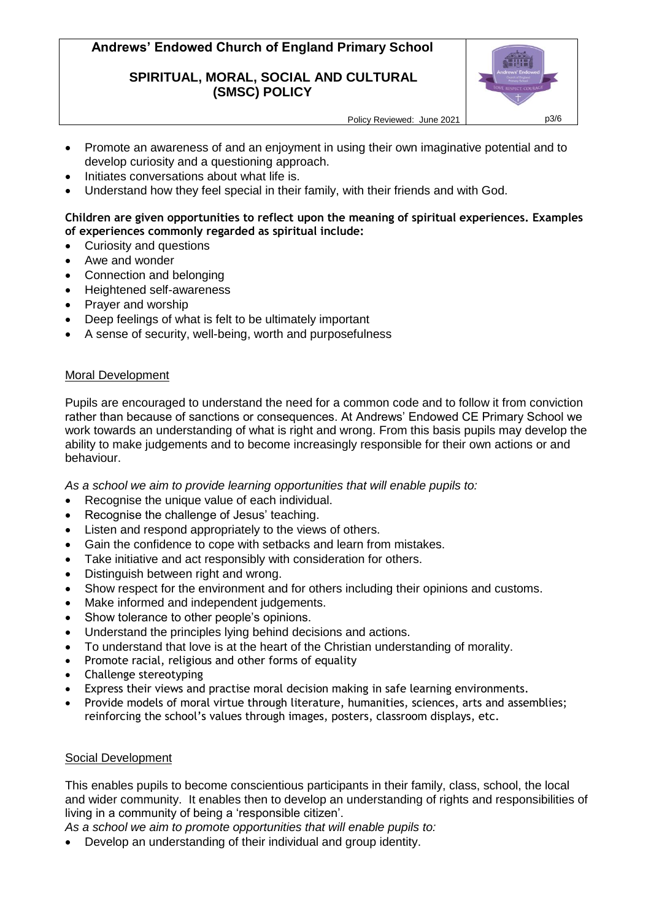### **SPIRITUAL, MORAL, SOCIAL AND CULTURAL (SMSC) POLICY**



Policy Reviewed: June 2021 | p3/6

- Promote an awareness of and an enjoyment in using their own imaginative potential and to develop curiosity and a questioning approach.
- Initiates conversations about what life is.
- Understand how they feel special in their family, with their friends and with God.

#### **Children are given opportunities to reflect upon the meaning of spiritual experiences. Examples of experiences commonly regarded as spiritual include:**

- Curiosity and questions
- Awe and wonder
- Connection and belonging
- Heightened self-awareness
- Prayer and worship
- Deep feelings of what is felt to be ultimately important
- A sense of security, well-being, worth and purposefulness

#### Moral Development

Pupils are encouraged to understand the need for a common code and to follow it from conviction rather than because of sanctions or consequences. At Andrews' Endowed CE Primary School we work towards an understanding of what is right and wrong. From this basis pupils may develop the ability to make judgements and to become increasingly responsible for their own actions or and behaviour.

*As a school we aim to provide learning opportunities that will enable pupils to:*

- Recognise the unique value of each individual.
- Recognise the challenge of Jesus' teaching.
- Listen and respond appropriately to the views of others.
- Gain the confidence to cope with setbacks and learn from mistakes.
- Take initiative and act responsibly with consideration for others.
- Distinguish between right and wrong.
- Show respect for the environment and for others including their opinions and customs.
- Make informed and independent judgements.
- Show tolerance to other people's opinions.
- Understand the principles lying behind decisions and actions.
- To understand that love is at the heart of the Christian understanding of morality.
- Promote racial, religious and other forms of equality
- Challenge stereotyping
- Express their views and practise moral decision making in safe learning environments.
- Provide models of moral virtue through literature, humanities, sciences, arts and assemblies; reinforcing the school's values through images, posters, classroom displays, etc.

#### Social Development

This enables pupils to become conscientious participants in their family, class, school, the local and wider community. It enables then to develop an understanding of rights and responsibilities of living in a community of being a 'responsible citizen'.

*As a school we aim to promote opportunities that will enable pupils to:*

Develop an understanding of their individual and group identity.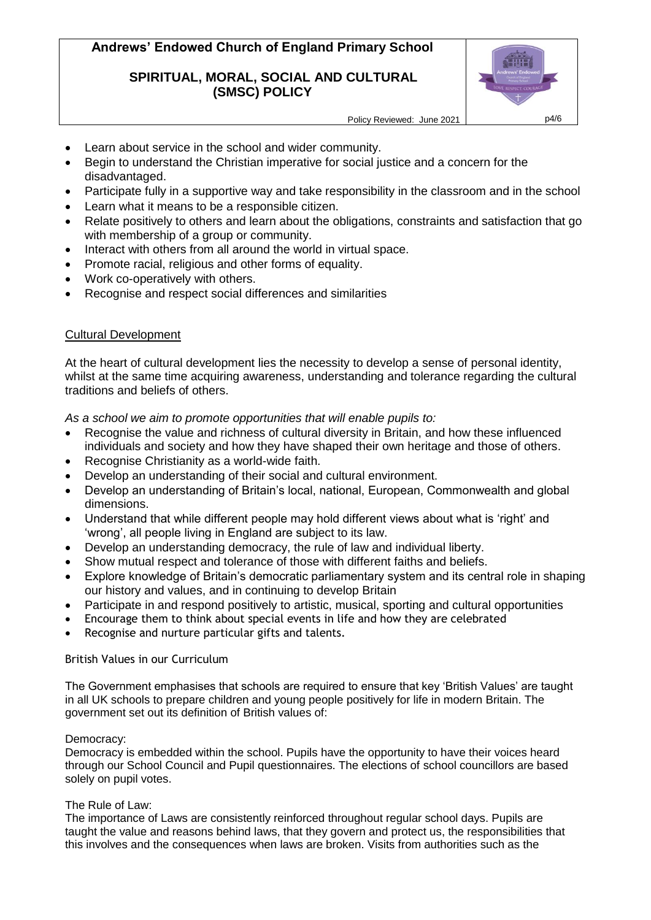### **SPIRITUAL, MORAL, SOCIAL AND CULTURAL (SMSC) POLICY**



- Learn about service in the school and wider community.
- Begin to understand the Christian imperative for social justice and a concern for the disadvantaged.
- Participate fully in a supportive way and take responsibility in the classroom and in the school
- Learn what it means to be a responsible citizen.
- Relate positively to others and learn about the obligations, constraints and satisfaction that go with membership of a group or community.
- Interact with others from all around the world in virtual space.
- Promote racial, religious and other forms of equality.
- Work co-operatively with others.
- Recognise and respect social differences and similarities

#### Cultural Development

At the heart of cultural development lies the necessity to develop a sense of personal identity, whilst at the same time acquiring awareness, understanding and tolerance regarding the cultural traditions and beliefs of others.

*As a school we aim to promote opportunities that will enable pupils to:*

- Recognise the value and richness of cultural diversity in Britain, and how these influenced individuals and society and how they have shaped their own heritage and those of others.
- Recognise Christianity as a world-wide faith.
- Develop an understanding of their social and cultural environment.
- Develop an understanding of Britain's local, national, European, Commonwealth and global dimensions.
- Understand that while different people may hold different views about what is 'right' and 'wrong', all people living in England are subject to its law.
- Develop an understanding democracy, the rule of law and individual liberty.
- Show mutual respect and tolerance of those with different faiths and beliefs.
- Explore knowledge of Britain's democratic parliamentary system and its central role in shaping our history and values, and in continuing to develop Britain
- Participate in and respond positively to artistic, musical, sporting and cultural opportunities
- Encourage them to think about special events in life and how they are celebrated
- Recognise and nurture particular gifts and talents.

#### British Values in our Curriculum

The Government emphasises that schools are required to ensure that key 'British Values' are taught in all UK schools to prepare children and young people positively for life in modern Britain. The government set out its definition of British values of:

#### Democracy:

Democracy is embedded within the school. Pupils have the opportunity to have their voices heard through our School Council and Pupil questionnaires. The elections of school councillors are based solely on pupil votes.

#### The Rule of Law:

The importance of Laws are consistently reinforced throughout regular school days. Pupils are taught the value and reasons behind laws, that they govern and protect us, the responsibilities that this involves and the consequences when laws are broken. Visits from authorities such as the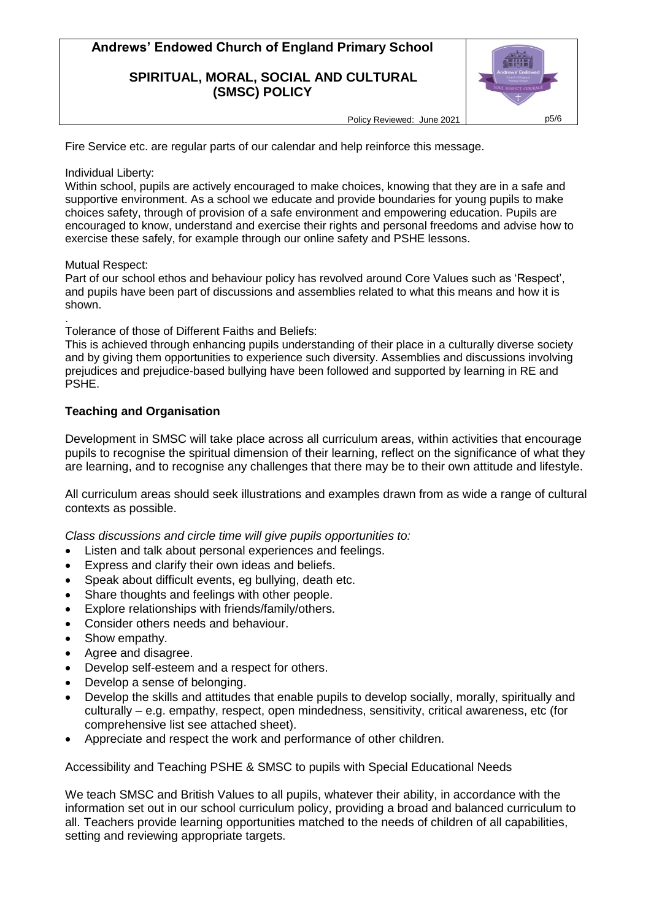#### **SPIRITUAL, MORAL, SOCIAL AND CULTURAL (SMSC) POLICY**



Policy Reviewed: June 2021 | p5/6

Fire Service etc. are regular parts of our calendar and help reinforce this message.

#### Individual Liberty:

Within school, pupils are actively encouraged to make choices, knowing that they are in a safe and supportive environment. As a school we educate and provide boundaries for young pupils to make choices safety, through of provision of a safe environment and empowering education. Pupils are encouraged to know, understand and exercise their rights and personal freedoms and advise how to exercise these safely, for example through our online safety and PSHE lessons.

#### Mutual Respect:

Part of our school ethos and behaviour policy has revolved around Core Values such as 'Respect', and pupils have been part of discussions and assemblies related to what this means and how it is shown.

. Tolerance of those of Different Faiths and Beliefs:

This is achieved through enhancing pupils understanding of their place in a culturally diverse society and by giving them opportunities to experience such diversity. Assemblies and discussions involving prejudices and prejudice-based bullying have been followed and supported by learning in RE and PSHE.

## **Teaching and Organisation**

Development in SMSC will take place across all curriculum areas, within activities that encourage pupils to recognise the spiritual dimension of their learning, reflect on the significance of what they are learning, and to recognise any challenges that there may be to their own attitude and lifestyle.

All curriculum areas should seek illustrations and examples drawn from as wide a range of cultural contexts as possible.

*Class discussions and circle time will give pupils opportunities to:*

- Listen and talk about personal experiences and feelings.
- Express and clarify their own ideas and beliefs.
- Speak about difficult events, eg bullying, death etc.
- Share thoughts and feelings with other people.
- Explore relationships with friends/family/others.
- Consider others needs and behaviour.
- Show empathy.
- Agree and disagree.
- Develop self-esteem and a respect for others.
- Develop a sense of belonging.
- Develop the skills and attitudes that enable pupils to develop socially, morally, spiritually and culturally – e.g. empathy, respect, open mindedness, sensitivity, critical awareness, etc (for comprehensive list see attached sheet).
- Appreciate and respect the work and performance of other children.

Accessibility and Teaching PSHE & SMSC to pupils with Special Educational Needs

We teach SMSC and British Values to all pupils, whatever their ability, in accordance with the information set out in our school curriculum policy, providing a broad and balanced curriculum to all. Teachers provide learning opportunities matched to the needs of children of all capabilities, setting and reviewing appropriate targets.